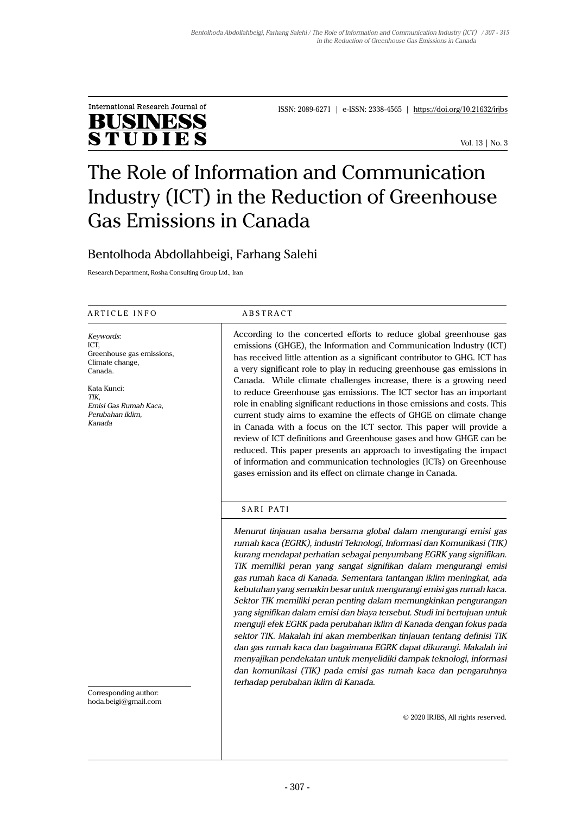

ISSN: 2089-6271 | e-ISSN: 2338-4565 | https://doi.org/10.21632/irjbs

Vol. 13 | No. 3

# The Role of Information and Communication Industry (ICT) in the Reduction of Greenhouse Gas Emissions in Canada

# Bentolhoda Abdollahbeigi, Farhang Salehi

Research Department, Rosha Consulting Group Ltd., Iran

## ARTICLE INFO ABSTRACT

*Keywords*: ICT, Greenhouse gas emissions, Climate change, Canada.

Kata Kunci: *TIK, Emisi Gas Rumah Kaca, Perubahan iklim, Kanada*

According to the concerted efforts to reduce global greenhouse gas emissions (GHGE), the Information and Communication Industry (ICT) has received little attention as a significant contributor to GHG. ICT has a very significant role to play in reducing greenhouse gas emissions in Canada. While climate challenges increase, there is a growing need to reduce Greenhouse gas emissions. The ICT sector has an important role in enabling significant reductions in those emissions and costs. This current study aims to examine the effects of GHGE on climate change in Canada with a focus on the ICT sector. This paper will provide a review of ICT definitions and Greenhouse gases and how GHGE can be reduced. This paper presents an approach to investigating the impact of information and communication technologies (ICTs) on Greenhouse gases emission and its effect on climate change in Canada.

# SARI PATI

*Menurut tinjauan usaha bersama global dalam mengurangi emisi gas rumah kaca (EGRK), industri Teknologi, Informasi dan Komunikasi (TIK) kurang mendapat perhatian sebagai penyumbang EGRK yang signifikan. TIK memiliki peran yang sangat signifikan dalam mengurangi emisi gas rumah kaca di Kanada. Sementara tantangan iklim meningkat, ada kebutuhan yang semakin besar untuk mengurangi emisi gas rumah kaca. Sektor TIK memiliki peran penting dalam memungkinkan pengurangan yang signifikan dalam emisi dan biaya tersebut. Studi ini bertujuan untuk menguji efek EGRK pada perubahan iklim di Kanada dengan fokus pada sektor TIK. Makalah ini akan memberikan tinjauan tentang definisi TIK dan gas rumah kaca dan bagaimana EGRK dapat dikurangi. Makalah ini menyajikan pendekatan untuk menyelidiki dampak teknologi, informasi dan komunikasi (TIK) pada emisi gas rumah kaca dan pengaruhnya terhadap perubahan iklim di Kanada.*

Corresponding author: hoda.beigi@gmail.com

© 2020 IRJBS, All rights reserved.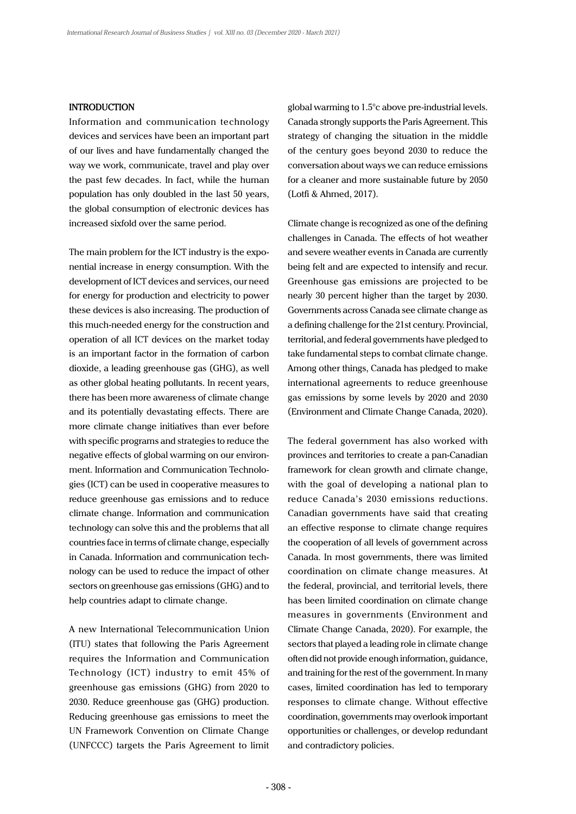# **INTRODUCTION**

Information and communication technology devices and services have been an important part of our lives and have fundamentally changed the way we work, communicate, travel and play over the past few decades. In fact, while the human population has only doubled in the last 50 years, the global consumption of electronic devices has increased sixfold over the same period.

The main problem for the ICT industry is the exponential increase in energy consumption. With the development of ICT devices and services, our need for energy for production and electricity to power these devices is also increasing. The production of this much-needed energy for the construction and operation of all ICT devices on the market today is an important factor in the formation of carbon dioxide, a leading greenhouse gas (GHG), as well as other global heating pollutants. In recent years, there has been more awareness of climate change and its potentially devastating effects. There are more climate change initiatives than ever before with specific programs and strategies to reduce the negative effects of global warming on our environment. Information and Communication Technologies (ICT) can be used in cooperative measures to reduce greenhouse gas emissions and to reduce climate change. Information and communication technology can solve this and the problems that all countries face in terms of climate change, especially in Canada. Information and communication technology can be used to reduce the impact of other sectors on greenhouse gas emissions (GHG) and to help countries adapt to climate change.

A new International Telecommunication Union (ITU) states that following the Paris Agreement requires the Information and Communication Technology (ICT) industry to emit 45% of greenhouse gas emissions (GHG) from 2020 to 2030. Reduce greenhouse gas (GHG) production. Reducing greenhouse gas emissions to meet the UN Framework Convention on Climate Change (UNFCCC) targets the Paris Agreement to limit

global warming to 1.5°c above pre-industrial levels. Canada strongly supports the Paris Agreement. This strategy of changing the situation in the middle of the century goes beyond 2030 to reduce the conversation about ways we can reduce emissions for a cleaner and more sustainable future by 2050 (Lotfi & Ahmed, 2017).

Climate change is recognized as one of the defining challenges in Canada. The effects of hot weather and severe weather events in Canada are currently being felt and are expected to intensify and recur. Greenhouse gas emissions are projected to be nearly 30 percent higher than the target by 2030. Governments across Canada see climate change as a defining challenge for the 21st century. Provincial, territorial, and federal governments have pledged to take fundamental steps to combat climate change. Among other things, Canada has pledged to make international agreements to reduce greenhouse gas emissions by some levels by 2020 and 2030 (Environment and Climate Change Canada, 2020).

The federal government has also worked with provinces and territories to create a pan-Canadian framework for clean growth and climate change, with the goal of developing a national plan to reduce Canada's 2030 emissions reductions. Canadian governments have said that creating an effective response to climate change requires the cooperation of all levels of government across Canada. In most governments, there was limited coordination on climate change measures. At the federal, provincial, and territorial levels, there has been limited coordination on climate change measures in governments (Environment and Climate Change Canada, 2020). For example, the sectors that played a leading role in climate change often did not provide enough information, guidance, and training for the rest of the government. In many cases, limited coordination has led to temporary responses to climate change. Without effective coordination, governments may overlook important opportunities or challenges, or develop redundant and contradictory policies.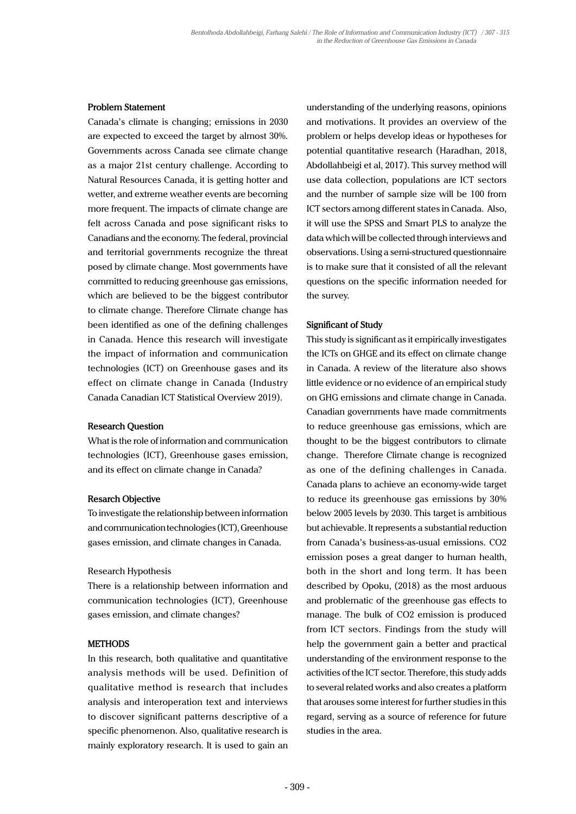## **Problem Statement**

Canada's climate is changing; emissions in 2030 are expected to exceed the target by almost 30%. Governments across Canada see climate change as a major 21st century challenge. According to Natural Resources Canada, it is getting hotter and wetter, and extreme weather events are becoming more frequent. The impacts of climate change are felt across Canada and pose significant risks to Canadians and the economy. The federal, provincial and territorial governments recognize the threat posed by climate change. Most governments have committed to reducing greenhouse gas emissions, which are believed to be the biggest contributor to climate change. Therefore Climate change has been identified as one of the defining challenges in Canada. Hence this research will investigate the impact of information and communication technologies (ICT) on Greenhouse gases and its effect on climate change in Canada (Industry Canada Canadian ICT Statistical Overview 2019).

## **Research Question**

What is the role of information and communication technologies (ICT), Greenhouse gases emission, and its effect on climate change in Canada?

#### **Resarch Objective**

To investigate the relationship between information and communication technologies (ICT), Greenhouse gases emission, and climate changes in Canada.

#### Research Hypothesis

There is a relationship between information and communication technologies (ICT), Greenhouse gases emission, and climate changes?

# **METHODS**

In this research, both qualitative and quantitative analysis methods will be used. Definition of qualitative method is research that includes analysis and interoperation text and interviews to discover significant patterns descriptive of a specific phenomenon. Also, qualitative research is mainly exploratory research. It is used to gain an

understanding of the underlying reasons, opinions and motivations. It provides an overview of the problem or helps develop ideas or hypotheses for potential quantitative research (Haradhan, 2018, Abdollahbeigi et al, 2017). This survey method will use data collection, populations are ICT sectors and the number of sample size will be 100 from ICT sectors among different states in Canada. Also, it will use the SPSS and Smart PLS to analyze the data which will be collected through interviews and observations. Using a semi-structured questionnaire is to make sure that it consisted of all the relevant questions on the specific information needed for the survey.

#### **Significant of Study**

This study is significant as it empirically investigates the ICTs on GHGE and its effect on climate change in Canada. A review of the literature also shows little evidence or no evidence of an empirical study on GHG emissions and climate change in Canada. Canadian governments have made commitments to reduce greenhouse gas emissions, which are thought to be the biggest contributors to climate change. Therefore Climate change is recognized as one of the defining challenges in Canada. Canada plans to achieve an economy-wide target to reduce its greenhouse gas emissions by 30% below 2005 levels by 2030. This target is ambitious but achievable. It represents a substantial reduction from Canada's business-as-usual emissions. CO2 emission poses a great danger to human health, both in the short and long term. It has been described by Opoku, (2018) as the most arduous and problematic of the greenhouse gas effects to manage. The bulk of CO2 emission is produced from ICT sectors. Findings from the study will help the government gain a better and practical understanding of the environment response to the activities of the ICT sector. Therefore, this study adds to several related works and also creates a platform that arouses some interest for further studies in this regard, serving as a source of reference for future studies in the area.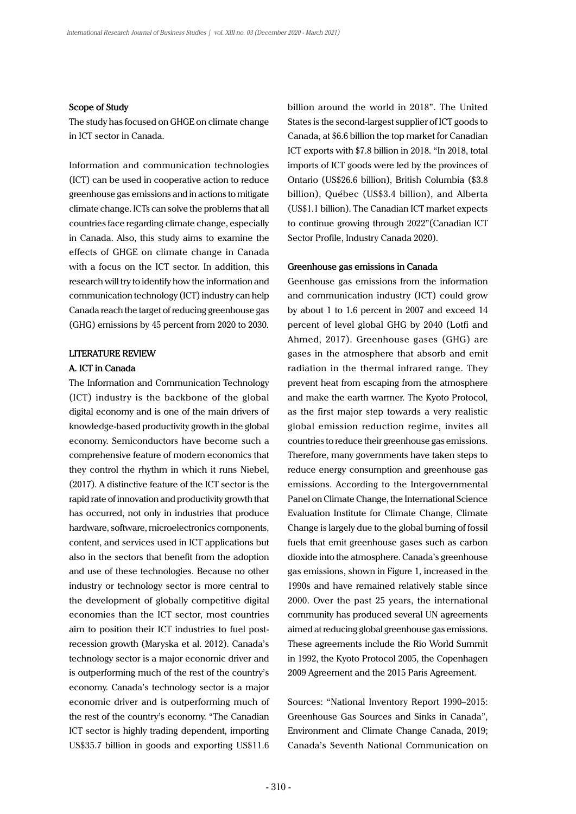#### **Scope of Study**

The study has focused on GHGE on climate change in ICT sector in Canada.

Information and communication technologies (ICT) can be used in cooperative action to reduce greenhouse gas emissions and in actions to mitigate climate change. ICTs can solve the problems that all countries face regarding climate change, especially in Canada. Also, this study aims to examine the effects of GHGE on climate change in Canada with a focus on the ICT sector. In addition, this research will try to identify how the information and communication technology (ICT) industry can help Canada reach the target of reducing greenhouse gas (GHG) emissions by 45 percent from 2020 to 2030.

#### **LITERATURE REVIEW**

# **A. ICT in Canada**

The Information and Communication Technology (ICT) industry is the backbone of the global digital economy and is one of the main drivers of knowledge-based productivity growth in the global economy. Semiconductors have become such a comprehensive feature of modern economics that they control the rhythm in which it runs Niebel, (2017). A distinctive feature of the ICT sector is the rapid rate of innovation and productivity growth that has occurred, not only in industries that produce hardware, software, microelectronics components, content, and services used in ICT applications but also in the sectors that benefit from the adoption and use of these technologies. Because no other industry or technology sector is more central to the development of globally competitive digital economies than the ICT sector, most countries aim to position their ICT industries to fuel postrecession growth (Maryska et al. 2012). Canada's technology sector is a major economic driver and is outperforming much of the rest of the country's economy. Canada's technology sector is a major economic driver and is outperforming much of the rest of the country's economy. "The Canadian ICT sector is highly trading dependent, importing US\$35.7 billion in goods and exporting US\$11.6 billion around the world in 2018". The United States is the second-largest supplier of ICT goods to Canada, at \$6.6 billion the top market for Canadian ICT exports with \$7.8 billion in 2018. "In 2018, total imports of ICT goods were led by the provinces of Ontario (US\$26.6 billion), British Columbia (\$3.8 billion), Québec (US\$3.4 billion), and Alberta (US\$1.1 billion). The Canadian ICT market expects to continue growing through 2022"(Canadian ICT Sector Profile, Industry Canada 2020).

## **Greenhouse gas emissions in Canada**

Geenhouse gas emissions from the information and communication industry (ICT) could grow by about 1 to 1.6 percent in 2007 and exceed 14 percent of level global GHG by 2040 (Lotfi and Ahmed, 2017). Greenhouse gases (GHG) are gases in the atmosphere that absorb and emit radiation in the thermal infrared range. They prevent heat from escaping from the atmosphere and make the earth warmer. The Kyoto Protocol, as the first major step towards a very realistic global emission reduction regime, invites all countries to reduce their greenhouse gas emissions. Therefore, many governments have taken steps to reduce energy consumption and greenhouse gas emissions. According to the Intergovernmental Panel on Climate Change, the International Science Evaluation Institute for Climate Change, Climate Change is largely due to the global burning of fossil fuels that emit greenhouse gases such as carbon dioxide into the atmosphere. Canada's greenhouse gas emissions, shown in Figure 1, increased in the 1990s and have remained relatively stable since 2000. Over the past 25 years, the international community has produced several UN agreements aimed at reducing global greenhouse gas emissions. These agreements include the Rio World Summit in 1992, the Kyoto Protocol 2005, the Copenhagen 2009 Agreement and the 2015 Paris Agreement.

Sources: "National Inventory Report 1990–2015: Greenhouse Gas Sources and Sinks in Canada", Environment and Climate Change Canada, 2019; Canada's Seventh National Communication on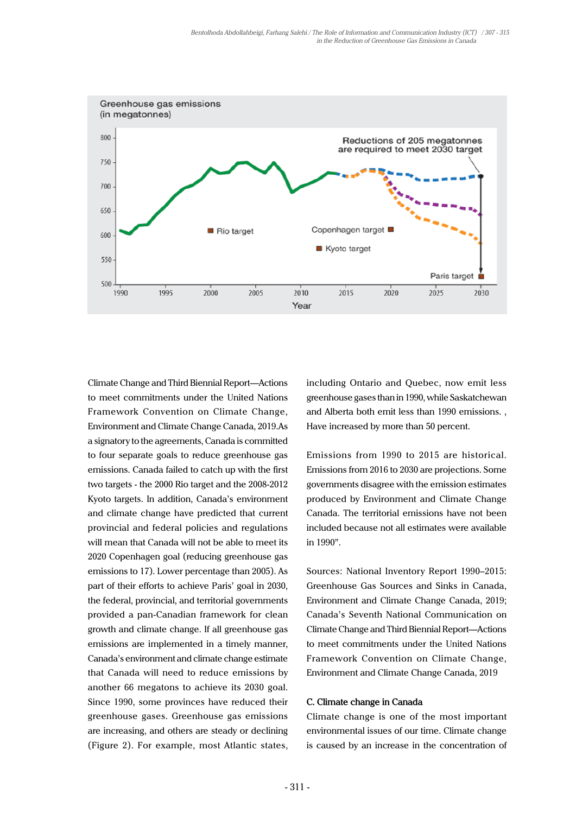

Climate Change and Third Biennial Report—Actions to meet commitments under the United Nations Framework Convention on Climate Change, Environment and Climate Change Canada, 2019.As a signatory to the agreements, Canada is committed to four separate goals to reduce greenhouse gas emissions. Canada failed to catch up with the first two targets - the 2000 Rio target and the 2008-2012 Kyoto targets. In addition, Canada's environment and climate change have predicted that current provincial and federal policies and regulations will mean that Canada will not be able to meet its 2020 Copenhagen goal (reducing greenhouse gas emissions to 17). Lower percentage than 2005). As part of their efforts to achieve Paris' goal in 2030, the federal, provincial, and territorial governments provided a pan-Canadian framework for clean growth and climate change. If all greenhouse gas emissions are implemented in a timely manner, Canada's environment and climate change estimate that Canada will need to reduce emissions by another 66 megatons to achieve its 2030 goal. Since 1990, some provinces have reduced their greenhouse gases. Greenhouse gas emissions are increasing, and others are steady or declining (Figure 2). For example, most Atlantic states,

including Ontario and Quebec, now emit less greenhouse gases than in 1990, while Saskatchewan and Alberta both emit less than 1990 emissions. , Have increased by more than 50 percent.

Emissions from 1990 to 2015 are historical. Emissions from 2016 to 2030 are projections. Some governments disagree with the emission estimates produced by Environment and Climate Change Canada. The territorial emissions have not been included because not all estimates were available in 1990".

Sources: National Inventory Report 1990–2015: Greenhouse Gas Sources and Sinks in Canada, Environment and Climate Change Canada, 2019; Canada's Seventh National Communication on Climate Change and Third Biennial Report—Actions to meet commitments under the United Nations Framework Convention on Climate Change, Environment and Climate Change Canada, 2019

# **C. Climate change in Canada**

Climate change is one of the most important environmental issues of our time. Climate change is caused by an increase in the concentration of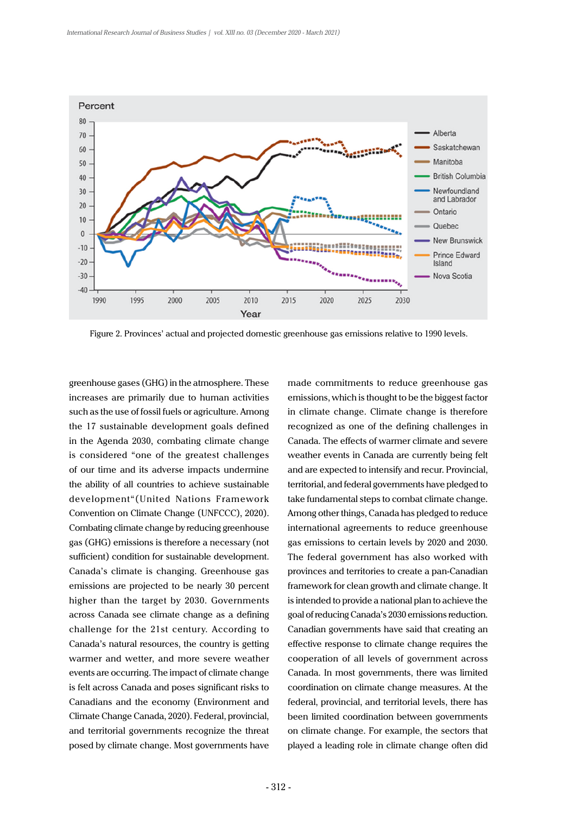

Figure 2. Provinces' actual and projected domestic greenhouse gas emissions relative to 1990 levels.

greenhouse gases (GHG) in the atmosphere. These increases are primarily due to human activities such as the use of fossil fuels or agriculture. Among the 17 sustainable development goals defined in the Agenda 2030, combating climate change is considered "one of the greatest challenges of our time and its adverse impacts undermine the ability of all countries to achieve sustainable development"(United Nations Framework Convention on Climate Change (UNFCCC), 2020). Combating climate change by reducing greenhouse gas (GHG) emissions is therefore a necessary (not sufficient) condition for sustainable development. Canada's climate is changing. Greenhouse gas emissions are projected to be nearly 30 percent higher than the target by 2030. Governments across Canada see climate change as a defining challenge for the 21st century. According to Canada's natural resources, the country is getting warmer and wetter, and more severe weather events are occurring. The impact of climate change is felt across Canada and poses significant risks to Canadians and the economy (Environment and Climate Change Canada, 2020). Federal, provincial, and territorial governments recognize the threat posed by climate change. Most governments have made commitments to reduce greenhouse gas emissions, which is thought to be the biggest factor in climate change. Climate change is therefore recognized as one of the defining challenges in Canada. The effects of warmer climate and severe weather events in Canada are currently being felt and are expected to intensify and recur. Provincial, territorial, and federal governments have pledged to take fundamental steps to combat climate change. Among other things, Canada has pledged to reduce international agreements to reduce greenhouse gas emissions to certain levels by 2020 and 2030. The federal government has also worked with provinces and territories to create a pan-Canadian framework for clean growth and climate change. It is intended to provide a national plan to achieve the goal of reducing Canada's 2030 emissions reduction. Canadian governments have said that creating an effective response to climate change requires the cooperation of all levels of government across Canada. In most governments, there was limited coordination on climate change measures. At the federal, provincial, and territorial levels, there has been limited coordination between governments on climate change. For example, the sectors that played a leading role in climate change often did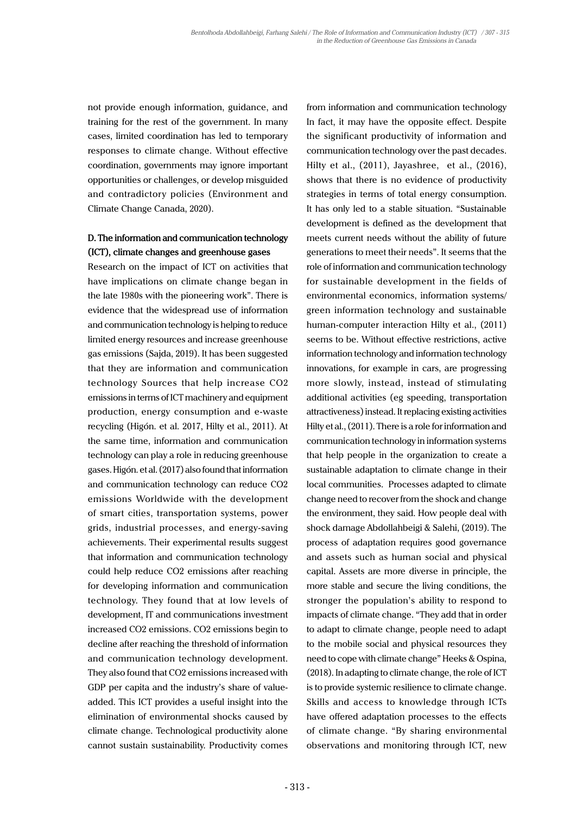not provide enough information, guidance, and training for the rest of the government. In many cases, limited coordination has led to temporary responses to climate change. Without effective coordination, governments may ignore important opportunities or challenges, or develop misguided and contradictory policies (Environment and Climate Change Canada, 2020).

# **D. The information and communication technology (ICT), climate changes and greenhouse gases**

Research on the impact of ICT on activities that have implications on climate change began in the late 1980s with the pioneering work". There is evidence that the widespread use of information and communication technology is helping to reduce limited energy resources and increase greenhouse gas emissions (Sajda, 2019). It has been suggested that they are information and communication technology Sources that help increase CO2 emissions in terms of ICT machinery and equipment production, energy consumption and e-waste recycling (Higón. et al. 2017, Hilty et al., 2011). At the same time, information and communication technology can play a role in reducing greenhouse gases. Higón. et al. (2017) also found that information and communication technology can reduce CO2 emissions Worldwide with the development of smart cities, transportation systems, power grids, industrial processes, and energy-saving achievements. Their experimental results suggest that information and communication technology could help reduce CO2 emissions after reaching for developing information and communication technology. They found that at low levels of development, IT and communications investment increased CO2 emissions. CO2 emissions begin to decline after reaching the threshold of information and communication technology development. They also found that CO2 emissions increased with GDP per capita and the industry's share of valueadded. This ICT provides a useful insight into the elimination of environmental shocks caused by climate change. Technological productivity alone cannot sustain sustainability. Productivity comes

from information and communication technology In fact, it may have the opposite effect. Despite the significant productivity of information and communication technology over the past decades. Hilty et al., (2011), Jayashree, et al., (2016), shows that there is no evidence of productivity strategies in terms of total energy consumption. It has only led to a stable situation. "Sustainable development is defined as the development that meets current needs without the ability of future generations to meet their needs". It seems that the role of information and communication technology for sustainable development in the fields of environmental economics, information systems/ green information technology and sustainable human-computer interaction Hilty et al., (2011) seems to be. Without effective restrictions, active information technology and information technology innovations, for example in cars, are progressing more slowly, instead, instead of stimulating additional activities (eg speeding, transportation attractiveness) instead. It replacing existing activities Hilty et al., (2011). There is a role for information and communication technology in information systems that help people in the organization to create a sustainable adaptation to climate change in their local communities. Processes adapted to climate change need to recover from the shock and change the environment, they said. How people deal with shock damage Abdollahbeigi & Salehi, (2019). The process of adaptation requires good governance and assets such as human social and physical capital. Assets are more diverse in principle, the more stable and secure the living conditions, the stronger the population's ability to respond to impacts of climate change. "They add that in order to adapt to climate change, people need to adapt to the mobile social and physical resources they need to cope with climate change" Heeks & Ospina, (2018). In adapting to climate change, the role of ICT is to provide systemic resilience to climate change. Skills and access to knowledge through ICTs have offered adaptation processes to the effects of climate change. "By sharing environmental observations and monitoring through ICT, new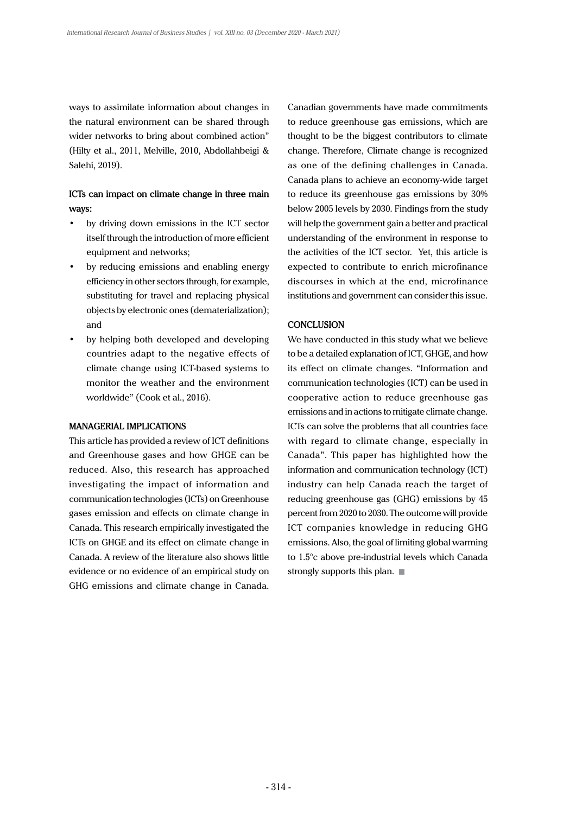ways to assimilate information about changes in the natural environment can be shared through wider networks to bring about combined action" (Hilty et al., 2011, Melville, 2010, Abdollahbeigi & Salehi, 2019).

# **ICTs can impact on climate change in three main ways:**

- by driving down emissions in the ICT sector itself through the introduction of more efficient equipment and networks;
- by reducing emissions and enabling energy efficiency in other sectors through, for example, substituting for travel and replacing physical objects by electronic ones (dematerialization); and
- by helping both developed and developing countries adapt to the negative effects of climate change using ICT-based systems to monitor the weather and the environment worldwide" (Cook et al., 2016).

# **MANAGERIAL IMPLICATIONS**

This article has provided a review of ICT definitions and Greenhouse gases and how GHGE can be reduced. Also, this research has approached investigating the impact of information and communication technologies (ICTs) on Greenhouse gases emission and effects on climate change in Canada. This research empirically investigated the ICTs on GHGE and its effect on climate change in Canada. A review of the literature also shows little evidence or no evidence of an empirical study on GHG emissions and climate change in Canada. Canadian governments have made commitments to reduce greenhouse gas emissions, which are thought to be the biggest contributors to climate change. Therefore, Climate change is recognized as one of the defining challenges in Canada. Canada plans to achieve an economy-wide target to reduce its greenhouse gas emissions by 30% below 2005 levels by 2030. Findings from the study will help the government gain a better and practical understanding of the environment in response to the activities of the ICT sector. Yet, this article is expected to contribute to enrich microfinance discourses in which at the end, microfinance institutions and government can consider this issue.

### **CONCLUSION**

We have conducted in this study what we believe to be a detailed explanation of ICT, GHGE, and how its effect on climate changes. "Information and communication technologies (ICT) can be used in cooperative action to reduce greenhouse gas emissions and in actions to mitigate climate change. ICTs can solve the problems that all countries face with regard to climate change, especially in Canada". This paper has highlighted how the information and communication technology (ICT) industry can help Canada reach the target of reducing greenhouse gas (GHG) emissions by 45 percent from 2020 to 2030. The outcome will provide ICT companies knowledge in reducing GHG emissions. Also, the goal of limiting global warming to 1.5°c above pre-industrial levels which Canada strongly supports this plan.